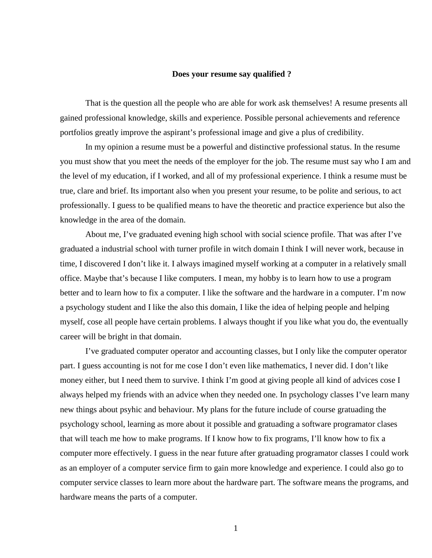## **Does your resume say qualified ?**

That is the question all the people who are able for work ask themselves! A resume presents all gained professional knowledge, skills and experience. Possible personal achievements and reference portfolios greatly improve the aspirant's professional image and give a plus of credibility.

In my opinion a resume must be a powerful and distinctive professional status. In the resume you must show that you meet the needs of the employer for the job. The resume must say who I am and the level of my education, if I worked, and all of my professional experience. I think a resume must be true, clare and brief. Its important also when you present your resume, to be polite and serious, to act professionally. I guess to be qualified means to have the theoretic and practice experience but also the knowledge in the area of the domain.

About me, I've graduated evening high school with social science profile. That was after I've graduated a industrial school with turner profile in witch domain I think I will never work, because in time, I discovered I don't like it. I always imagined myself working at a computer in a relatively small office. Maybe that's because I like computers. I mean, my hobby is to learn how to use a program better and to learn how to fix a computer. I like the software and the hardware in a computer. I'm now a psychology student and I like the also this domain, I like the idea of helping people and helping myself, cose all people have certain problems. I always thought if you like what you do, the eventually career will be bright in that domain.

I've graduated computer operator and accounting classes, but I only like the computer operator part. I guess accounting is not for me cose I don't even like mathematics, I never did. I don't like money either, but I need them to survive. I think I'm good at giving people all kind of advices cose I always helped my friends with an advice when they needed one. In psychology classes I've learn many new things about psyhic and behaviour. My plans for the future include of course gratuading the psychology school, learning as more about it possible and gratuading a software programator clases that will teach me how to make programs. If I know how to fix programs, I'll know how to fix a computer more effectively. I guess in the near future after gratuading programator classes I could work as an employer of a computer service firm to gain more knowledge and experience. I could also go to computer service classes to learn more about the hardware part. The software means the programs, and hardware means the parts of a computer.

1